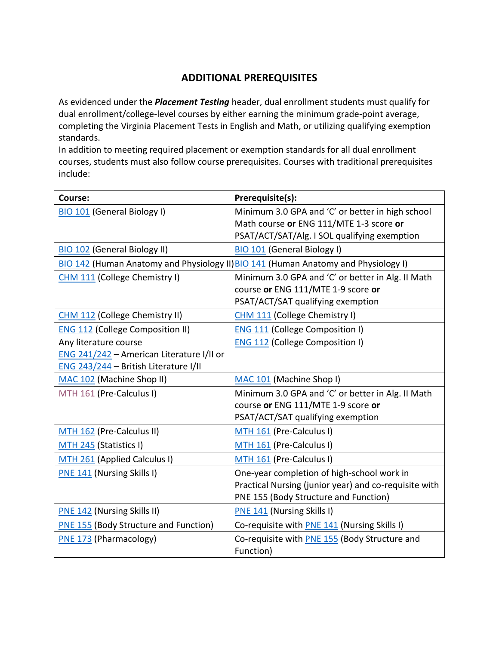## **ADDITIONAL PREREQUISITES**

As evidenced under the *Placement Testing* header, dual enrollment students must qualify for dual enrollment/college-level courses by either earning the minimum grade-point average, completing the Virginia Placement Tests in English and Math, or utilizing qualifying exemption standards.

In addition to meeting required placement or exemption standards for all dual enrollment courses, students must also follow course prerequisites. Courses with traditional prerequisites include:

| Course:                                      | Prerequisite(s):                                                                   |
|----------------------------------------------|------------------------------------------------------------------------------------|
| <b>BIO 101 (General Biology I)</b>           | Minimum 3.0 GPA and 'C' or better in high school                                   |
|                                              | Math course or ENG 111/MTE 1-3 score or                                            |
|                                              | PSAT/ACT/SAT/Alg. I SOL qualifying exemption                                       |
| <b>BIO 102 (General Biology II)</b>          | <b>BIO 101 (General Biology I)</b>                                                 |
|                                              | BIO 142 (Human Anatomy and Physiology II) BIO 141 (Human Anatomy and Physiology I) |
| CHM 111 (College Chemistry I)                | Minimum 3.0 GPA and 'C' or better in Alg. II Math                                  |
|                                              | course or ENG 111/MTE 1-9 score or                                                 |
|                                              | PSAT/ACT/SAT qualifying exemption                                                  |
| CHM 112 (College Chemistry II)               | CHM 111 (College Chemistry I)                                                      |
| <b>ENG 112 (College Composition II)</b>      | <b>ENG 111 (College Composition I)</b>                                             |
| Any literature course                        | <b>ENG 112 (College Composition I)</b>                                             |
| ENG 241/242 - American Literature I/II or    |                                                                                    |
| ENG 243/244 - British Literature I/II        |                                                                                    |
| MAC 102 (Machine Shop II)                    | MAC 101 (Machine Shop I)                                                           |
| MTH 161 (Pre-Calculus I)                     | Minimum 3.0 GPA and 'C' or better in Alg. II Math                                  |
|                                              | course or ENG 111/MTE 1-9 score or                                                 |
|                                              | PSAT/ACT/SAT qualifying exemption                                                  |
| MTH 162 (Pre-Calculus II)                    | MTH 161 (Pre-Calculus I)                                                           |
| MTH 245 (Statistics I)                       | MTH 161 (Pre-Calculus I)                                                           |
| MTH 261 (Applied Calculus I)                 | MTH 161 (Pre-Calculus I)                                                           |
| <b>PNE 141 (Nursing Skills I)</b>            | One-year completion of high-school work in                                         |
|                                              | Practical Nursing (junior year) and co-requisite with                              |
|                                              | PNE 155 (Body Structure and Function)                                              |
| <b>PNE 142 (Nursing Skills II)</b>           | <b>PNE 141 (Nursing Skills I)</b>                                                  |
| <b>PNE 155 (Body Structure and Function)</b> | Co-requisite with PNE 141 (Nursing Skills I)                                       |
| PNE 173 (Pharmacology)                       | Co-requisite with PNE 155 (Body Structure and                                      |
|                                              | Function)                                                                          |